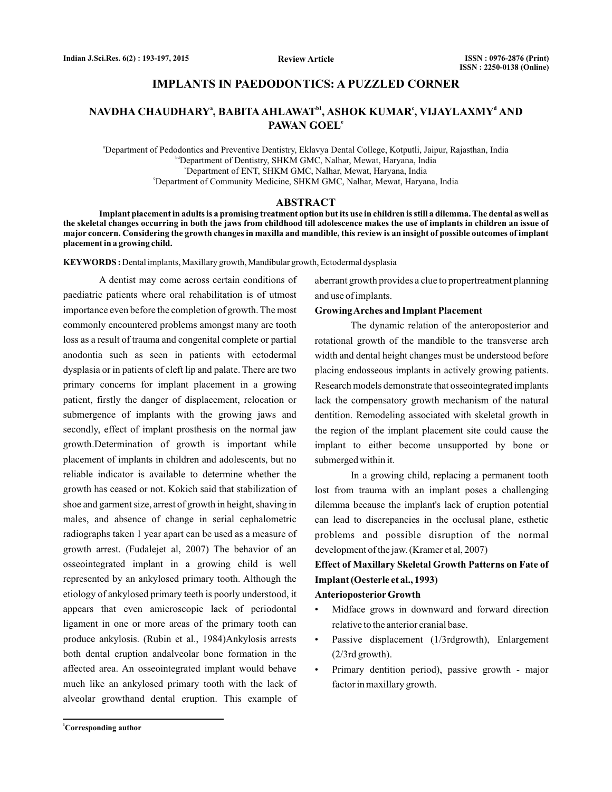## **IMPLANTS IN PAEDODONTICS: A PUZZLED CORNER**

# <code>NAVDHA CHAUDHARY $^{\mathsf{a}},$  BABITA AHLAWAT $^{\mathsf{b1}},$  ASHOK KUMAR $^{\mathsf{c}},$  VIJAYLAXMY $^{\mathsf{d}}$  AND</code> **PAWAN GOEL e**

a Department of Pedodontics and Preventive Dentistry, Eklavya Dental College, Kotputli, Jaipur, Rajasthan, India bdDepartment of Dentistry, SHKM GMC, Nalhar, Mewat, Haryana, India c Department of ENT, SHKM GMC, Nalhar, Mewat, Haryana, India e Department of Community Medicine, SHKM GMC, Nalhar, Mewat, Haryana, India

#### **ABSTRACT**

**Implant placement in adults is a promising treatment option but its use in children is still a dilemma. The dental as well as the skeletal changes occurring in both the jaws from childhood till adolescence makes the use of implants in children an issue of major concern. Considering the growth changes in maxilla and mandible, this review is an insight of possible outcomes of implant placement in a growing child.**

**KEYWORDS :** Dental implants, Maxillary growth, Mandibular growth, Ectodermal dysplasia

A dentist may come across certain conditions of paediatric patients where oral rehabilitation is of utmost importance even before the completion of growth. The most commonly encountered problems amongst many are tooth loss as a result of trauma and congenital complete or partial anodontia such as seen in patients with ectodermal dysplasia or in patients of cleft lip and palate. There are two primary concerns for implant placement in a growing patient, firstly the danger of displacement, relocation or submergence of implants with the growing jaws and secondly, effect of implant prosthesis on the normal jaw growth.Determination of growth is important while placement of implants in children and adolescents, but no reliable indicator is available to determine whether the growth has ceased or not. Kokich said that stabilization of shoe and garment size, arrest of growth in height, shaving in males, and absence of change in serial cephalometric radiographs taken 1 year apart can be used as a measure of growth arrest. (Fudalejet al, 2007) The behavior of an osseointegrated implant in a growing child is well represented by an ankylosed primary tooth. Although the etiology of ankylosed primary teeth is poorly understood, it appears that even amicroscopic lack of periodontal ligament in one or more areas of the primary tooth can produce ankylosis. (Rubin et al., 1984)Ankylosis arrests both dental eruption andalveolar bone formation in the affected area. An osseointegrated implant would behave much like an ankylosed primary tooth with the lack of alveolar growthand dental eruption. This example of

aberrant growth provides a clue to propertreatment planning and use of implants.

#### **GrowingArches and Implant Placement**

The dynamic relation of the anteroposterior and rotational growth of the mandible to the transverse arch width and dental height changes must be understood before placing endosseous implants in actively growing patients. Research models demonstrate that osseointegrated implants lack the compensatory growth mechanism of the natural dentition. Remodeling associated with skeletal growth in the region of the implant placement site could cause the implant to either become unsupported by bone or submerged within it.

In a growing child, replacing a permanent tooth lost from trauma with an implant poses a challenging dilemma because the implant's lack of eruption potential can lead to discrepancies in the occlusal plane, esthetic problems and possible disruption of the normal development of the jaw. (Kramer et al, 2007)

# **Effect of Maxillary Skeletal Growth Patterns on Fate of Implant (Oesterle et al., 1993)**

#### **Anterioposterior Growth**

- Midface grows in downward and forward direction relative to the anterior cranial base.
- Passive displacement (1/3rdgrowth), Enlargement (2/3rd growth).
- Primary dentition period), passive growth major factor in maxillary growth.

**<sup>1</sup>Corresponding author**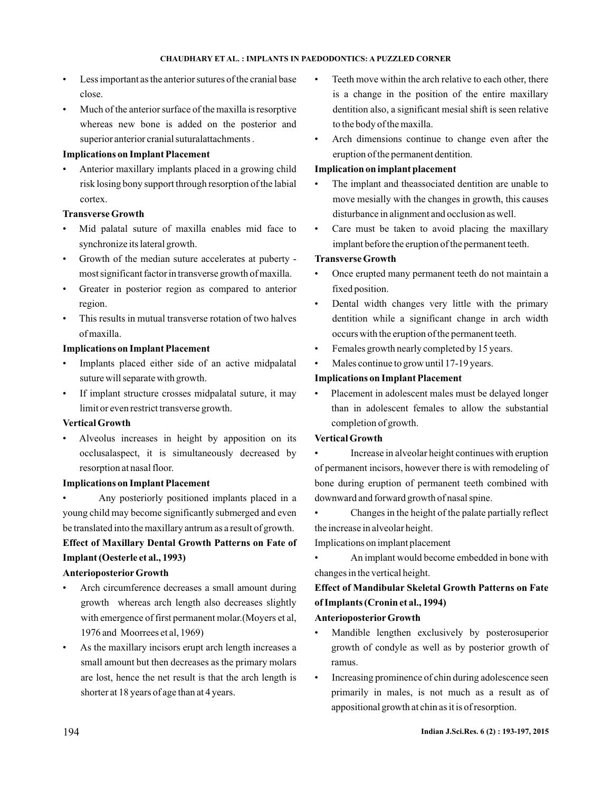- Less important as the anterior sutures of the cranial base close.
- Much of the anterior surface of the maxilla is resorptive whereas new bone is added on the posterior and superior anterior cranial suturalattachments .

## **Implications on Implant Placement**

• Anterior maxillary implants placed in a growing child risk losing bony support through resorption of the labial cortex.

## **Transverse Growth**

- Mid palatal suture of maxilla enables mid face to synchronize its lateral growth.
- Growth of the median suture accelerates at puberty most significant factor in transverse growth of maxilla.
- Greater in posterior region as compared to anterior region.
- This results in mutual transverse rotation of two halves of maxilla.

## **Implications on Implant Placement**

- Implants placed either side of an active midpalatal suture will separate with growth.
- If implant structure crosses midpalatal suture, it may limit or even restrict transverse growth.

#### **Vertical Growth**

• Alveolus increases in height by apposition on its occlusalaspect, it is simultaneously decreased by resorption at nasal floor.

#### **Implications on Implant Placement**

• Any posteriorly positioned implants placed in a young child may become significantly submerged and even be translated into the maxillary antrum as a result of growth. **Effect of Maxillary Dental Growth Patterns on Fate of Implant (Oesterle et al., 1993)**

## **Anterioposterior Growth**

- Arch circumference decreases a small amount during growth whereas arch length also decreases slightly with emergence of first permanent molar.(Moyers et al, 1976 and Moorrees et al, 1969)
- As the maxillary incisors erupt arch length increases a small amount but then decreases as the primary molars are lost, hence the net result is that the arch length is shorter at 18 years of age than at 4 years.
- Teeth move within the arch relative to each other, there is a change in the position of the entire maxillary dentition also, a significant mesial shift is seen relative to the body of the maxilla.
- Arch dimensions continue to change even after the eruption of the permanent dentition.

## **Implication on implant placement**

- The implant and theassociated dentition are unable to move mesially with the changes in growth, this causes disturbance in alignment and occlusion as well.
- Care must be taken to avoid placing the maxillary implant before the eruption of the permanent teeth.

## **Transverse Growth**

- Once erupted many permanent teeth do not maintain a fixed position.
- Dental width changes very little with the primary dentition while a significant change in arch width occurs with the eruption of the permanent teeth.
- Females growth nearly completed by 15 years.
- Males continue to grow until 17-19 years.

## **Implications on Implant Placement**

• Placement in adolescent males must be delayed longer than in adolescent females to allow the substantial completion of growth.

## **Vertical Growth**

• Increase in alveolar height continues with eruption of permanent incisors, however there is with remodeling of bone during eruption of permanent teeth combined with downward and forward growth of nasal spine.

• Changes in the height of the palate partially reflect the increase in alveolar height.

Implications on implant placement

• An implant would become embedded in bone with changes in the vertical height.

**Effect of Mandibular Skeletal Growth Patterns on Fate of Implants (Cronin et al., 1994)**

## **Anterioposterior Growth**

- Mandible lengthen exclusively by posterosuperior growth of condyle as well as by posterior growth of ramus.
- Increasing prominence of chin during adolescence seen primarily in males, is not much as a result as of appositional growth at chin as it is of resorption.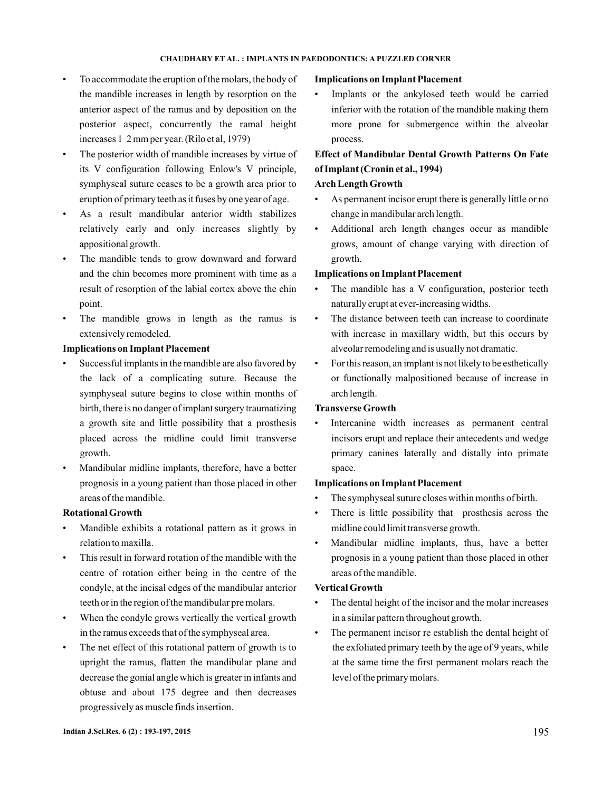#### **CHAUDHARY ET AL. IMPLANTS IN PAEDODONTICS: A PUZZLED CORNER :**

- To accommodate the eruption of the molars, the body of the mandible increases in length by resorption on the anterior aspect of the ramus and by deposition on the posterior aspect, concurrently the ramal height increases 1 2 mm per year. (Rilo et al, 1979)
- The posterior width of mandible increases by virtue of its V configuration following Enlow's V principle, symphyseal suture ceases to be a growth area prior to eruption of primary teeth as it fuses by one year of age.
- As a result mandibular anterior width stabilizes relatively early and only increases slightly by appositional growth.
- The mandible tends to grow downward and forward and the chin becomes more prominent with time as a result of resorption of the labial cortex above the chin point.
- The mandible grows in length as the ramus is extensively remodeled.

#### **Implications on Implant Placement**

- Successful implants in the mandible are also favored by the lack of a complicating suture. Because the symphyseal suture begins to close within months of birth, there is no danger of implant surgery traumatizing a growth site and little possibility that a prosthesis placed across the midline could limit transverse growth.
- Mandibular midline implants, therefore, have a better prognosis in a young patient than those placed in other areas of the mandible.

#### **Rotational Growth**

- Mandible exhibits a rotational pattern as it grows in relation to maxilla.
- This result in forward rotation of the mandible with the centre of rotation either being in the centre of the condyle, at the incisal edges of the mandibular anterior teeth or in the region of the mandibular pre molars.
- When the condyle grows vertically the vertical growth in the ramus exceeds that of the symphyseal area.
- The net effect of this rotational pattern of growth is to upright the ramus, flatten the mandibular plane and decrease the gonial angle which is greater in infants and obtuse and about 175 degree and then decreases progressively as muscle finds insertion.

#### **Implications on Implant Placement**

• Implants or the ankylosed teeth would be carried inferior with the rotation of the mandible making them more prone for submergence within the alveolar process.

# **Effect of Mandibular Dental Growth Patterns On Fate of Implant (Cronin et al., 1994)**

#### **Arch Length Growth**

- As permanent incisor erupt there is generally little or no change in mandibular arch length.
- Additional arch length changes occur as mandible grows, amount of change varying with direction of growth.

#### **Implications on Implant Placement**

- The mandible has a V configuration, posterior teeth naturally erupt at ever-increasing widths.
- The distance between teeth can increase to coordinate with increase in maxillary width, but this occurs by alveolar remodeling and is usually not dramatic.
- For this reason, an implant is not likely to be esthetically or functionally malpositioned because of increase in arch length.

#### **Transverse Growth**

Intercanine width increases as permanent central incisors erupt and replace their antecedents and wedge primary canines laterally and distally into primate space.

#### **Implications on Implant Placement**

- The symphyseal suture closes within months of birth.
- There is little possibility that prosthesis across the midline could limit transverse growth.
- Mandibular midline implants, thus, have a better prognosis in a young patient than those placed in other areas of the mandible.

#### **Vertical Growth**

- The dental height of the incisor and the molar increases in a similar pattern throughout growth.
- The permanent incisor re establish the dental height of the exfoliated primary teeth by the age of 9 years, while at the same time the first permanent molars reach the level of the primary molars.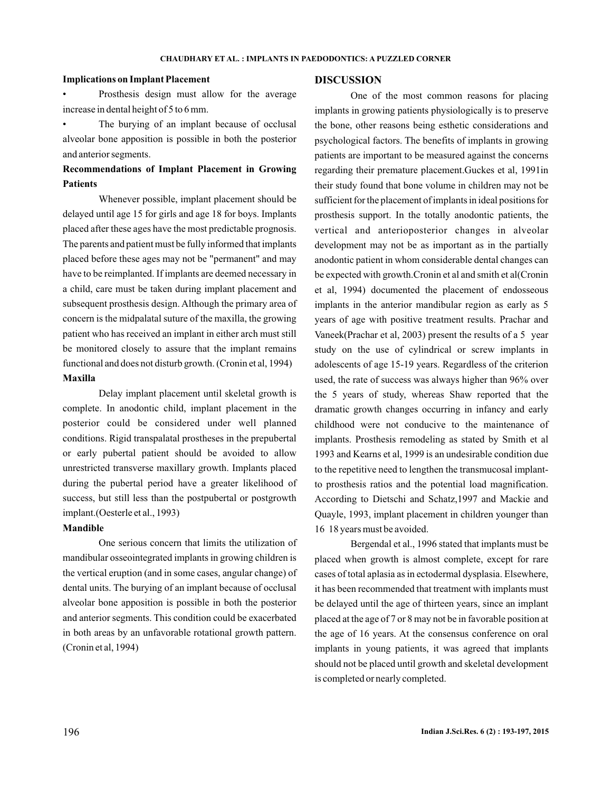#### **CHAUDHARY ET AL. IMPLANTS IN PAEDODONTICS: A PUZZLED CORNER :**

#### **Implications on Implant Placement**

• Prosthesis design must allow for the average increase in dental height of 5 to 6 mm.

The burying of an implant because of occlusal alveolar bone apposition is possible in both the posterior and anterior segments.

# **Recommendations of Implant Placement in Growing Patients**

**Maxilla** Whenever possible, implant placement should be delayed until age 15 for girls and age 18 for boys. Implants placed after these ages have the most predictable prognosis. The parents and patient must be fully informed that implants placed before these ages may not be "permanent" and may have to be reimplanted. If implants are deemed necessary in a child, care must be taken during implant placement and subsequent prosthesis design. Although the primary area of concern is the midpalatal suture of the maxilla, the growing patient who has received an implant in either arch must still be monitored closely to assure that the implant remains functional and does not disturb growth. (Cronin et al, 1994)

Delay implant placement until skeletal growth is complete. In anodontic child, implant placement in the posterior could be considered under well planned conditions. Rigid transpalatal prostheses in the prepubertal or early pubertal patient should be avoided to allow unrestricted transverse maxillary growth. Implants placed during the pubertal period have a greater likelihood of success, but still less than the postpubertal or postgrowth implant.(Oesterle et al., 1993)

#### **Mandible**

One serious concern that limits the utilization of mandibular osseointegrated implants in growing children is the vertical eruption (and in some cases, angular change) of dental units. The burying of an implant because of occlusal alveolar bone apposition is possible in both the posterior and anterior segments. This condition could be exacerbated in both areas by an unfavorable rotational growth pattern. (Cronin et al, 1994)

#### **DISCUSSION**

One of the most common reasons for placing implants in growing patients physiologically is to preserve the bone, other reasons being esthetic considerations and psychological factors. The benefits of implants in growing patients are important to be measured against the concerns regarding their premature placement.Guckes et al, 1991in their study found that bone volume in children may not be sufficient for the placement of implants in ideal positions for prosthesis support. In the totally anodontic patients, the vertical and anterioposterior changes in alveolar development may not be as important as in the partially anodontic patient in whom considerable dental changes can be expected with growth.Cronin et al and smith et al(Cronin et al, 1994) documented the placement of endosseous implants in the anterior mandibular region as early as 5 years of age with positive treatment results. Prachar and Vaneek(Prachar et al, 2003) present the results of a 5 year study on the use of cylindrical or screw implants in adolescents of age 15-19 years. Regardless of the criterion used, the rate of success was always higher than 96% over the 5 years of study, whereas Shaw reported that the dramatic growth changes occurring in infancy and early childhood were not conducive to the maintenance of implants. Prosthesis remodeling as stated by Smith et al 1993 and Kearns et al, 1999 is an undesirable condition due to the repetitive need to lengthen the transmucosal implantto prosthesis ratios and the potential load magnification. According to Dietschi and Schatz,1997 and Mackie and Quayle, 1993, implant placement in children younger than 16 18 years must be avoided.

Bergendal et al., 1996 stated that implants must be placed when growth is almost complete, except for rare cases of total aplasia as in ectodermal dysplasia. Elsewhere, it has been recommended that treatment with implants must be delayed until the age of thirteen years, since an implant placed at the age of 7 or 8 may not be in favorable position at the age of 16 years. At the consensus conference on oral implants in young patients, it was agreed that implants should not be placed until growth and skeletal development is completed or nearly completed.